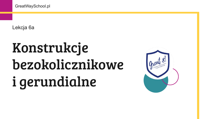Lekcja 6a

# Konstrukcje bezokolicznikowe i gerundialne

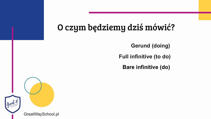### O czym będziemy dziś mówić?

- **Gerund (doing)**
- **Full infinitive (to do)**
	- **Bare infinitive (do)**

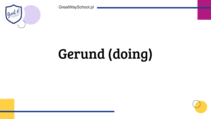# Gerund (doing)



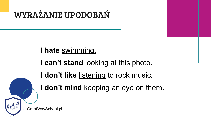#### **I hate** swimming.

**I can't stand** looking at this photo.

**I don't like** listening to rock music.

I don't mind keeping an eye on them.

#### WYRAŻANIE UPODOBAŃ

GreatWaySchool.pl

Cryent 8!

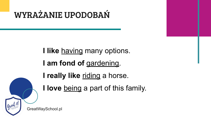**I like** having many options. I am fond of gardening. **I really like** riding a horse. **I love** being a part of this family.

#### WYRAŻANIE UPODOBAŃ

GreatWaySchool.pl

Great 8!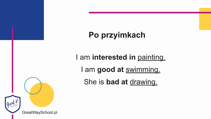#### **Po przyimkach**

I am **interested in** painting. I am **good at** swimming. She is **bad at** drawing.

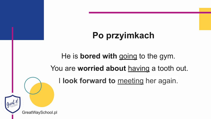### **Po przyimkach**

# He is **bored with** going to the gym.

# You are **worried about** having a tooth out. I **look forward to** meeting her again.

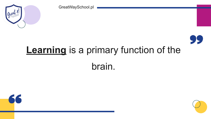### **Learning** is a primary function of the brain.







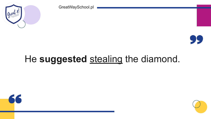### He **suggested** stealing the diamond.







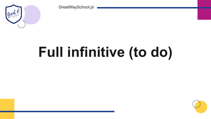# **Full infinitive (to do)**



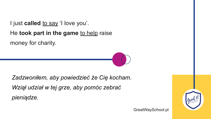I just **called** to say 'I love you'. He **took part in the game** to help raise money for charity.

*Zadzwoniłem, aby powiedzieć że Cię kocham. Wziął udział w tej grze, aby pomóc zebrać pieniądze.* 

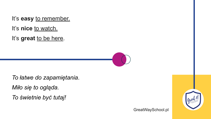It's **easy** to remember. It's **nice** to watch. It's **great** to be here.



*To łatwe do zapamiętania. Miło się to ogląda. To świetnie być tutaj!*

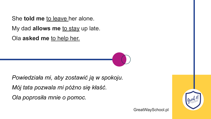#### She **told me** to leave her alone. My dad **allows me** to stay up late. Ola **asked me** to help her.



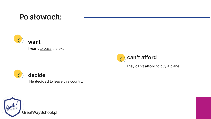#### Po słowach:



#### **decide**

He **decided** to leave this country.



**want**

I want to pass the exam.





#### **can't afford**

They can't afford to buy a plane.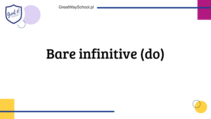### Bare infinitive (do)



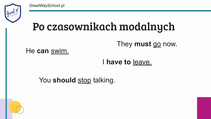## Po czasownikach modalnych

I **have to** leave.

#### You should stop talking.



#### They **must** go now.



#### He **can** swim.

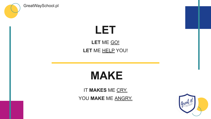#### IT **MAKES** ME CRY. YOU MAKE ME ANGRY.



### **MAKE**



GreatWaySchool.pl

#### **LET LET** ME GO! LET ME HELP YOU!